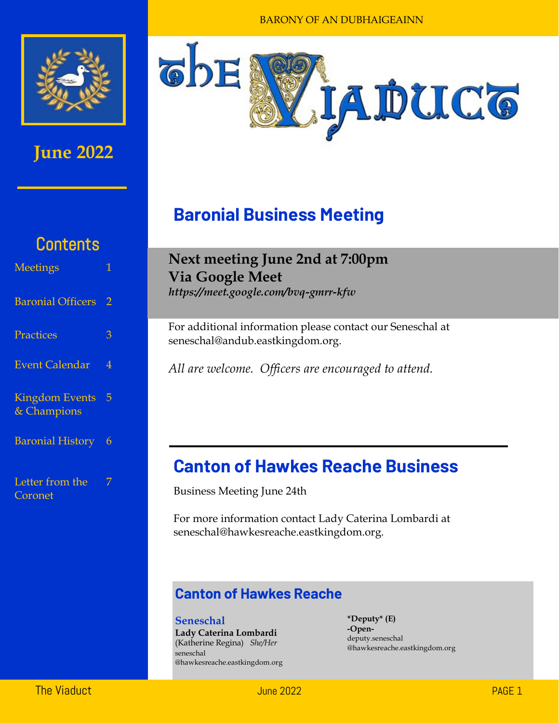

### **June 2022**



## **Baronial Business Meeting**

## **Contents**

| <b>Meetings</b>                      | 1              |
|--------------------------------------|----------------|
| <b>Baronial Officers</b>             | 2              |
| Practices                            | 3              |
| <b>Event Calendar</b>                | $\overline{4}$ |
| <b>Kingdom Events</b><br>& Champions | 5              |
| <b>Baronial History</b>              | 6              |
| Letter from the<br>Coronet           | 7              |

### **Next meeting June 2nd at 7:00pm Via Google Meet**

*https://meet.google.com/bvq-gmrr-kfw* 

For additional information please contact our Seneschal at seneschal@andub.eastkingdom.org.

*All are welcome. Officers are encouraged to attend.* 

### **Canton of Hawkes Reache Business**

Business Meeting June 24th

For more information contact Lady Caterina Lombardi at seneschal@hawkesreache.eastkingdom.org.

### **Canton of Hawkes Reache**

**Seneschal Lady Caterina Lombardi**  (Katherine Regina) *She/Her* seneschal @hawkesreache.eastkingdom.org **\*Deputy\* (E) -Open**deputy.seneschal @hawkesreache.eastkingdom.org

The Viaduct  $\rho_{\rm AGE~1}$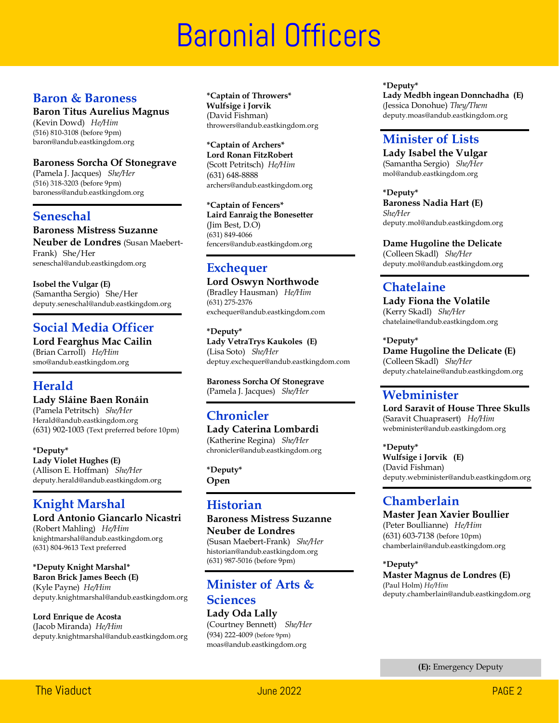# **Baronial Officers**

#### **Baron & Baroness**

**Baron Titus Aurelius Magnus**

(Kevin Dowd) *He/Him* (516) 810-3108 (before 9pm) baron@andub.eastkingdom.org

#### **Baroness Sorcha Of Stonegrave**

(Pamela J. Jacques) *She/Her* (516) 318-3203 (before 9pm) baroness@andub.eastkingdom.org

#### **Seneschal**

**Baroness Mistress Suzanne** 

**Neuber de Londres** (Susan Maebert-Frank) She/Her seneschal@andub.eastkingdom.org

**Isobel the Vulgar (E)** (Samantha Sergio) She/Her deputy.seneschal@andub.eastkingdom.org

### **Social Media Officer**

**Lord Fearghus Mac Cailin** (Brian Carroll) *He/Him* smo@andub.eastkingdom.org

### **Herald**

#### **Lady Sláine Baen Ronáin**

(Pamela Petritsch) *She/Her* Herald@andub.eastkingdom.org (631) 902-1003 (Text preferred before 10pm)

**\*Deputy\* Lady Violet Hughes (E)** (Allison E. Hoffman) *She/Her* deputy.herald@andub.eastkingdom.org

### **Knight Marshal**

### **Lord Antonio Giancarlo Nicastri**

(Robert Mahling) *He/Him* knightmarshal@andub.eastkingdom.org (631) 804-9613 Text preferred

#### **\*Deputy Knight Marshal\***

**Baron Brick James Beech (E)** (Kyle Payne) *He/Him* deputy.knightmarshal@andub.eastkingdom.org

#### **Lord Enrique de Acosta**

(Jacob Miranda) *He/Him* deputy.knightmarshal@andub.eastkingdom.org **\*Captain of Throwers\* Wulfsige i Jorvik**  (David Fishman) throwers@andub.eastkingdom.org

**\*Captain of Archers\* Lord Ronan FitzRobert** (Scott Petritsch) *He/Him* (631) 648-8888 archers@andub.eastkingdom.org

**\*Captain of Fencers\* Laird Eanraig the Bonesetter** (Jim Best, D.O) (631) 849-4066 fencers@andub.eastkingdom.org

### **Exchequer**

**Lord Oswyn Northwode** (Bradley Hausman) *He/Him* (631) 275-2376 exchequer@andub.eastkingdom.com

**\*Deputy\* Lady VetraTrys Kaukoles (E)** (Lisa Soto) *She/Her* deptuy.exchequer@andub.eastkingdom.com

**Baroness Sorcha Of Stonegrave** (Pamela J. Jacques) *She/Her*

### **Chronicler**

**Lady Caterina Lombardi**  (Katherine Regina) *She/Her* chronicler@andub.eastkingdom.org

**\*Deputy\* Open**

### **Historian**

#### **Baroness Mistress Suzanne Neuber de Londres**

(Susan Maebert-Frank) *She/Her* historian@andub.eastkingdom.org (631) 987-5016 (before 9pm)

### **Minister of Arts & Sciences**

**Lady Oda Lally** (Courtney Bennett) *She/Her* (934) 222-4009 (before 9pm) moas@andub.eastkingdom.org

**\*Deputy\* Lady Medbh ingean Donnchadha (E)** (Jessica Donohue) *They/Them* deputy.moas@andub.eastkingdom.org

#### **Minister of Lists**

**Lady Isabel the Vulgar** (Samantha Sergio) *She/Her* mol@andub.eastkingdom.org

**\*Deputy\* Baroness Nadia Hart (E)** *She/Her* deputy.mol@andub.eastkingdom.org

**Dame Hugoline the Delicate**

(Colleen Skadl) *She/Her* deputy.mol@andub.eastkingdom.org

### **Chatelaine**

**Lady Fiona the Volatile**  (Kerry Skadl) *She/Her* chatelaine@andub.eastkingdom.org

**\*Deputy\* Dame Hugoline the Delicate (E)** (Colleen Skadl) *She/Her* deputy.chatelaine@andub.eastkingdom.org

#### **Webminister**

**Lord Saravit of House Three Skulls** (Saravit Chuaprasert) *He/Him* webminister@andub.eastkingdom.org

**\*Deputy\* Wulfsige i Jorvik (E)** (David Fishman) deputy.webminister@andub.eastkingdom.org

### **Chamberlain**

#### **Master Jean Xavier Boullier** (Peter Boullianne) *He/Him* (631) 603-7138 (before 10pm) chamberlain@andub.eastkingdom.org

**\*Deputy\* Master Magnus de Londres (E)** (Paul Holm) *He/Him* deputy.chamberlain@andub.eastkingdom.org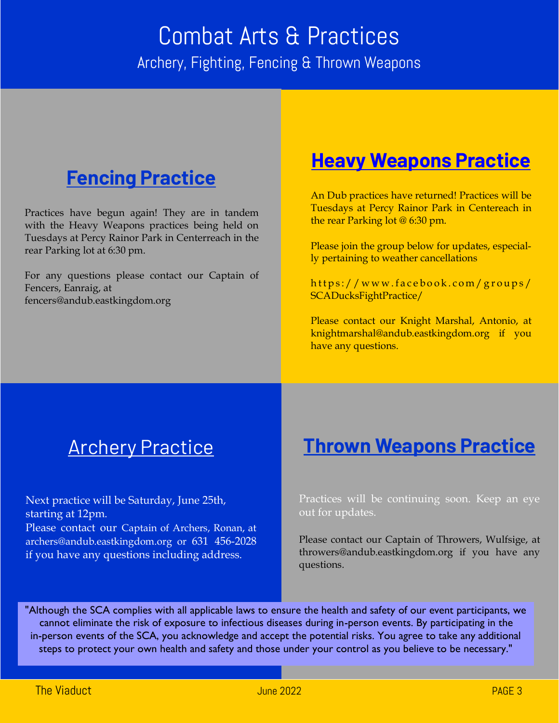# Combat Arts & Practices Archery, Fighting, Fencing & Thrown Weapons

# **Fencing Practice**

Practices have begun again! They are in tandem with the Heavy Weapons practices being held on Tuesdays at Percy Rainor Park in Centerreach in the rear Parking lot at 6:30 pm.

For any questions please contact our Captain of Fencers, Eanraig, at fencers@andub.eastkingdom.org

## **Heavy Weapons Practice**

An Dub practices have returned! Practices will be Tuesdays at Percy Rainor Park in Centereach in the rear Parking lot @ 6:30 pm.

Please join the group below for updates, especially pertaining to weather cancellations

https://www.facebook.com/groups/ SCADucksFightPractice/

Please contact our Knight Marshal, Antonio, at knightmarshal@andub.eastkingdom.org if you have any questions.

# **Archery Practice**

Next practice will be Saturday, June 25th, starting at 12pm.

Please contact our Captain of Archers, Ronan, at archers@andub.eastkingdom.org or 631 456-2028 if you have any questions including address.

## **Thrown Weapons Practice**

Practices will be continuing soon. Keep an eye out for updates.

Please contact our Captain of Throwers, Wulfsige, at throwers@andub.eastkingdom.org if you have any questions.

"Although the SCA complies with all applicable laws to ensure the health and safety of our event participants, we cannot eliminate the risk of exposure to infectious diseases during in-person events. By participating in the in-person events of the SCA, you acknowledge and accept the potential risks. You agree to take any additional steps to protect your own health and safety and those under your control as you believe to be necessary."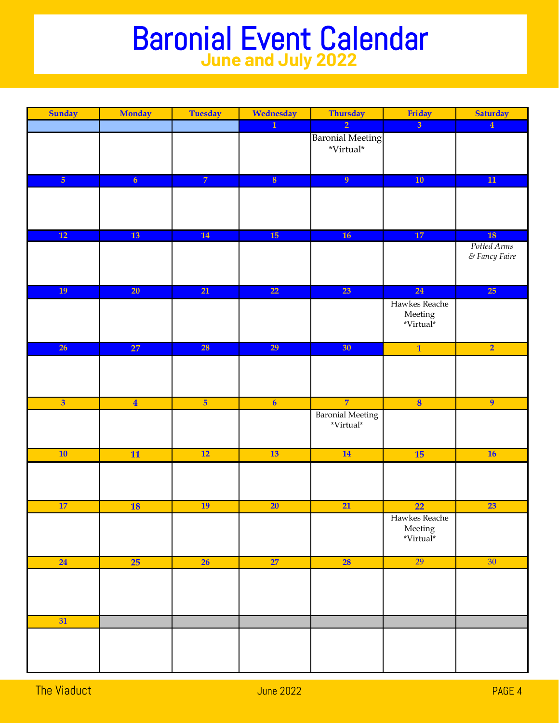# Baronial Event Calendar **June and July 2022**

| Sunday                  | <b>Monday</b>           | <b>Tuesday</b>  | Wednesday               | Thursday                                          | Friday                                        | <b>Saturday</b>                          |
|-------------------------|-------------------------|-----------------|-------------------------|---------------------------------------------------|-----------------------------------------------|------------------------------------------|
|                         |                         |                 | $\overline{1}$          | $\overline{2}$                                    | $\overline{3}$                                | $\overline{4}$                           |
|                         |                         |                 |                         | <b>Baronial Meeting</b><br>$^*\!V\!irtual^*$      |                                               |                                          |
| $\overline{5}$          | $\overline{6}$          | $\overline{7}$  | $\overline{\mathbf{8}}$ | 9 <sup>°</sup>                                    | 10                                            | $\overline{11}$                          |
|                         |                         |                 |                         |                                                   |                                               |                                          |
| 12                      | 13                      | 14              | 15                      | 16                                                | 17                                            | 18                                       |
|                         |                         |                 |                         |                                                   |                                               | Potted Arms<br>$\varepsilon$ Fancy Faire |
| 19                      | $\overline{20}$         | $\overline{21}$ | 22                      | 23                                                | 24                                            | 25                                       |
|                         |                         |                 |                         |                                                   | Hawkes Reache<br>${\rm Meeting}$<br>*Virtual* |                                          |
| 26                      | 27                      | 28              | 29                      | 30 <sup>°</sup>                                   | $\overline{\mathbf{1}}$                       | $\overline{2}$                           |
|                         |                         |                 |                         |                                                   |                                               |                                          |
| $\overline{\mathbf{3}}$ | $\overline{\mathbf{4}}$ | $\overline{5}$  | $\overline{6}$          | $\overline{7}$                                    | $\overline{\mathbf{8}}$                       | $\overline{9}$                           |
|                         |                         |                 |                         | <b>Baronial Meeting</b><br>$^*\mathrm{Virtual}^*$ |                                               |                                          |
| 10                      | 11                      | $\overline{12}$ | 13                      | 14                                                | 15                                            | 16                                       |
|                         |                         |                 |                         |                                                   |                                               |                                          |
| 17                      | <b>18</b>               | <b>19</b>       | $\overline{20}$         | $\overline{21}$                                   | $\overline{22}$                               | 23                                       |
|                         |                         |                 |                         |                                                   | Hawkes Reache<br>Meeting<br>*Virtual*         |                                          |
| 24                      | 25                      | 26              | 27                      | <b>28</b>                                         | 29                                            | 30                                       |
|                         |                         |                 |                         |                                                   |                                               |                                          |
| 31                      |                         |                 |                         |                                                   |                                               |                                          |
|                         |                         |                 |                         |                                                   |                                               |                                          |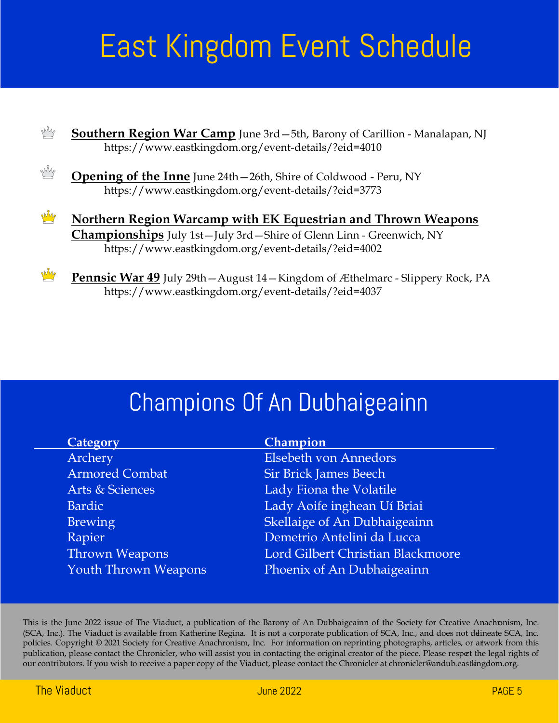# East Kingdom Event Schedule



**Pennsic War 49** July 29th—August 14—Kingdom of Æthelmarc - Slippery Rock, PA https://www.eastkingdom.org/event-details/?eid=4037

# Champions Of An Dubhaigeainn

| Category                    | Champion                          |
|-----------------------------|-----------------------------------|
| Archery                     | <b>Elsebeth von Annedors</b>      |
| <b>Armored Combat</b>       | <b>Sir Brick James Beech</b>      |
| Arts & Sciences             | Lady Fiona the Volatile           |
| Bardic                      | Lady Aoife inghean Uí Briai       |
| <b>Brewing</b>              | Skellaige of An Dubhaigeainn      |
| Rapier                      | Demetrio Antelini da Lucca        |
| <b>Thrown Weapons</b>       | Lord Gilbert Christian Blackmoore |
| <b>Youth Thrown Weapons</b> | Phoenix of An Dubhaigeainn        |
|                             |                                   |

This is the June 2022 issue of The Viaduct, a publication of the Barony of An Dubhaigeainn of the Society for Creative Anachronism, Inc. (SCA, Inc.). The Viaduct is available from Katherine Regina. It is not a corporate publication of SCA, Inc., and does not ddineate SCA, Inc. policies. Copyright © 2021 Society for Creative Anachronism, Inc. For information on reprinting photographs, articles, or artwork from this publication, please contact the Chronicler, who will assist you in contacting the original creator of the piece. Please respect the legal rights of our contributors. If you wish to receive a paper copy of the Viaduct, please contact the Chronicler at chronicler@andub.eastkingdom.org.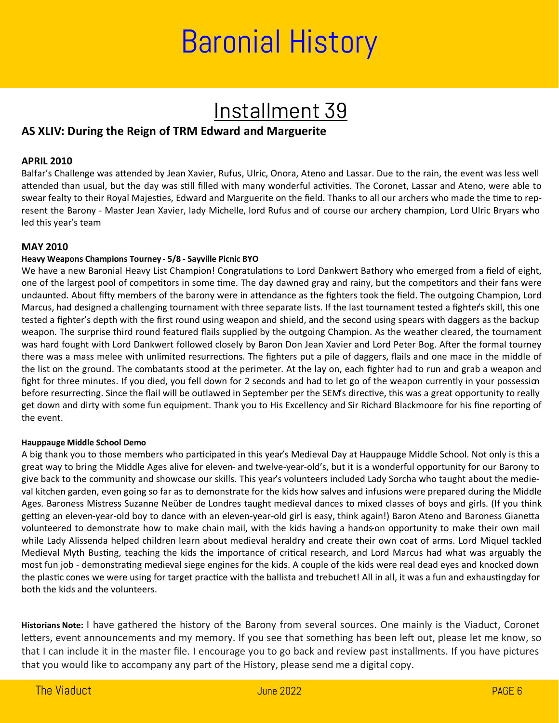# Baronial History

# Installment 39

#### **AS XLIV: During the Reign of TRM Edward and Marguerite**

#### **APRIL 2010**

Balfar's Challenge was attended by Jean Xavier, Rufus, Ulric, Onora, Ateno and Lassar. Due to the rain, the event was less well attended than usual, but the day was still filled with many wonderful activities. The Coronet, Lassar and Ateno, were able to swear fealty to their Royal Majesties, Edward and Marguerite on the field. Thanks to all our archers who made the time to represent the Barony - Master Jean Xavier, lady Michelle, lord Rufus and of course our archery champion, Lord Ulric Bryars who led this year's team

#### **MAY 2010**

#### **Heavy Weapons Champions Tourney - 5/8 - Sayville Picnic BYO**

We have a new Baronial Heavy List Champion! Congratulations to Lord Dankwert Bathory who emerged from a field of eight, one of the largest pool of competitors in some time. The day dawned gray and rainy, but the competitors and their fans were undaunted. About fifty members of the barony were in attendance as the fighters took the field. The outgoing Champion, Lord Marcus, had designed a challenging tournament with three separate lists. If the last tournament tested a fighter's skill, this one tested a fighter's depth with the first round using weapon and shield, and the second using spears with daggers as the backup weapon. The surprise third round featured flails supplied by the outgoing Champion. As the weather cleared, the tournament was hard fought with Lord Dankwert followed closely by Baron Don Jean Xavier and Lord Peter Bog. After the formal tourney there was a mass melee with unlimited resurrections. The fighters put a pile of daggers, flails and one mace in the middle of the list on the ground. The combatants stood at the perimeter. At the lay on, each fighter had to run and grab a weapon and fight for three minutes. If you died, you fell down for 2 seconds and had to let go of the weapon currently in your possession before resurrecting. Since the flail will be outlawed in September per the SEM's directive, this was a great opportunity to really get down and dirty with some fun equipment. Thank you to His Excellency and Sir Richard Blackmoore for his fine reporting of the event.

#### **Hauppauge Middle School Demo**

A big thank you to those members who participated in this year's Medieval Day at Hauppauge Middle School. Not only is this a great way to bring the Middle Ages alive for eleven- and twelve-year-old's, but it is a wonderful opportunity for our Barony to give back to the community and showcase our skills. This year's volunteers included Lady Sorcha who taught about the medieval kitchen garden, even going so far as to demonstrate for the kids how salves and infusions were prepared during the Middle Ages. Baroness Mistress Suzanne Neüber de Londres taught medieval dances to mixed classes of boys and girls. (If you think getting an eleven-year-old boy to dance with an eleven-year-old girl is easy, think again!) Baron Ateno and Baroness Gianetta volunteered to demonstrate how to make chain mail, with the kids having a hands-on opportunity to make their own mail while Lady Alissenda helped children learn about medieval heraldry and create their own coat of arms. Lord Miquel tackled Medieval Myth Busting, teaching the kids the importance of critical research, and Lord Marcus had what was arguably the most fun job - demonstrating medieval siege engines for the kids. A couple of the kids were real dead eyes and knocked down the plastic cones we were using for target practice with the ballista and trebuchet! All in all, it was a fun and exhausting day for both the kids and the volunteers.

**Historians Note:** I have gathered the history of the Barony from several sources. One mainly is the Viaduct, Coronet letters, event announcements and my memory. If you see that something has been left out, please let me know, so that I can include it in the master file. I encourage you to go back and review past installments. If you have pictures that you would like to accompany any part of the History, please send me a digital copy.